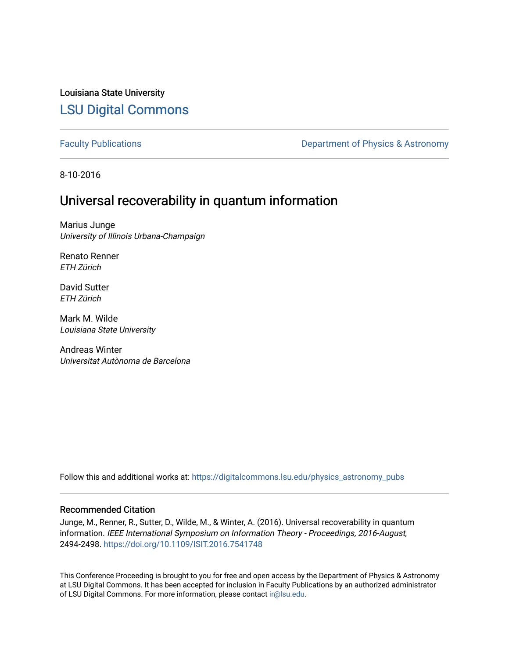## Louisiana State University [LSU Digital Commons](https://digitalcommons.lsu.edu/)

[Faculty Publications](https://digitalcommons.lsu.edu/physics_astronomy_pubs) **Exercise 2 and Table 2 and Table 2 and Table 2 and Table 2 and Table 2 and Table 2 and Table 2 and Table 2 and Table 2 and Table 2 and Table 2 and Table 2 and Table 2 and Table 2 and Table 2 and Table** 

8-10-2016

## Universal recoverability in quantum information

Marius Junge University of Illinois Urbana-Champaign

Renato Renner ETH Zürich

David Sutter ETH Zürich

Mark M. Wilde Louisiana State University

Andreas Winter Universitat Autònoma de Barcelona

Follow this and additional works at: [https://digitalcommons.lsu.edu/physics\\_astronomy\\_pubs](https://digitalcommons.lsu.edu/physics_astronomy_pubs?utm_source=digitalcommons.lsu.edu%2Fphysics_astronomy_pubs%2F5664&utm_medium=PDF&utm_campaign=PDFCoverPages) 

## Recommended Citation

Junge, M., Renner, R., Sutter, D., Wilde, M., & Winter, A. (2016). Universal recoverability in quantum information. IEEE International Symposium on Information Theory - Proceedings, 2016-August, 2494-2498. <https://doi.org/10.1109/ISIT.2016.7541748>

This Conference Proceeding is brought to you for free and open access by the Department of Physics & Astronomy at LSU Digital Commons. It has been accepted for inclusion in Faculty Publications by an authorized administrator of LSU Digital Commons. For more information, please contact [ir@lsu.edu](mailto:ir@lsu.edu).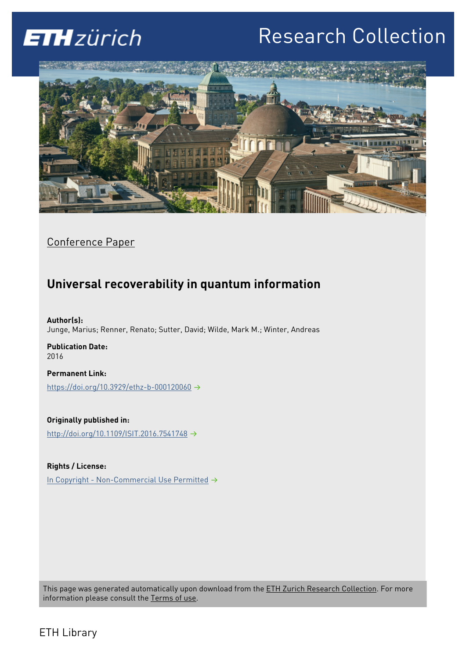# **ETH**zürich

# Research Collection



Conference Paper

# **Universal recoverability in quantum information**

**Author(s):**  Junge, Marius; Renner, Renato; Sutter, David; Wilde, Mark M.; Winter, Andreas

**Publication Date:**  2016

**Permanent Link:**  <https://doi.org/10.3929/ethz-b-000120060>

**Originally published in:**  <http://doi.org/10.1109/ISIT.2016.7541748>

**Rights / License:**  [In Copyright - Non-Commercial Use Permitted](http://rightsstatements.org/page/InC-NC/1.0/)  $\rightarrow$ 

This page was generated automatically upon download from the **ETH Zurich Research Collection**. For more information please consult the [Terms of use.](https://www.research-collection.ethz.ch/terms-of-use)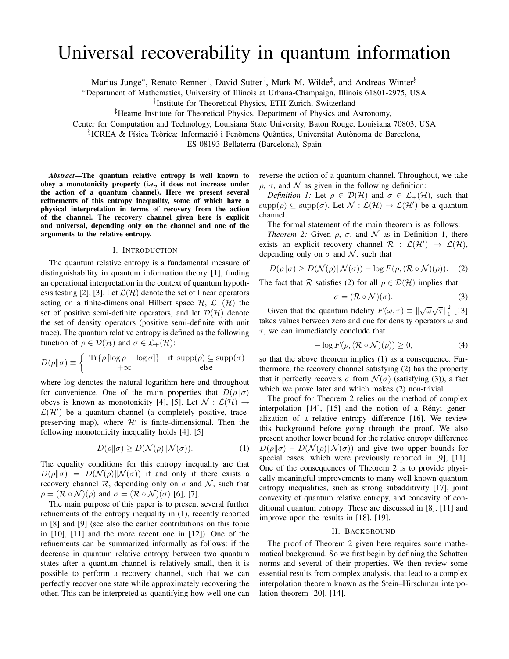# Universal recoverability in quantum information

Marius Junge\*, Renato Renner<sup>†</sup>, David Sutter<sup>†</sup>, Mark M. Wilde<sup>‡</sup>, and Andreas Winter<sup>§</sup>

<sup>∗</sup>Department of Mathematics, University of Illinois at Urbana-Champaign, Illinois 61801-2975, USA

† Institute for Theoretical Physics, ETH Zurich, Switzerland

‡Hearne Institute for Theoretical Physics, Department of Physics and Astronomy,

Center for Computation and Technology, Louisiana State University, Baton Rouge, Louisiana 70803, USA

§ICREA & Física Teòrica: Informació i Fenòmens Quàntics, Universitat Autònoma de Barcelona,

ES-08193 Bellaterra (Barcelona), Spain

*Abstract*—The quantum relative entropy is well known to obey a monotonicity property (i.e., it does not increase under the action of a quantum channel). Here we present several refinements of this entropy inequality, some of which have a physical interpretation in terms of recovery from the action of the channel. The recovery channel given here is explicit and universal, depending only on the channel and one of the arguments to the relative entropy.

#### I. INTRODUCTION

The quantum relative entropy is a fundamental measure of distinguishability in quantum information theory [1], finding an operational interpretation in the context of quantum hypothesis testing [2], [3]. Let  $\mathcal{L}(\mathcal{H})$  denote the set of linear operators acting on a finite-dimensional Hilbert space  $\mathcal{H}, \mathcal{L}_+(\mathcal{H})$  the set of positive semi-definite operators, and let  $\mathcal{D}(\mathcal{H})$  denote the set of density operators (positive semi-definite with unit trace). The quantum relative entropy is defined as the following function of  $\rho \in \mathcal{D}(\mathcal{H})$  and  $\sigma \in \mathcal{L}_+(\mathcal{H})$ :

$$
D(\rho \|\sigma) \equiv \left\{ \begin{array}{cc} \text{Tr}\{\rho \left[ \log \rho - \log \sigma \right] \} & \text{if } \text{supp}(\rho) \subseteq \text{supp}(\sigma) \\ +\infty & \text{else} \end{array} \right.
$$

where log denotes the natural logarithm here and throughout for convenience. One of the main properties that  $D(\rho||\sigma)$ obeys is known as monotonicity [4], [5]. Let  $\mathcal{N} : \mathcal{L}(\mathcal{H}) \rightarrow$  $\mathcal{L}(\mathcal{H}')$  be a quantum channel (a completely positive, tracepreserving map), where  $\mathcal{H}'$  is finite-dimensional. Then the following monotonicity inequality holds [4], [5]

$$
D(\rho \|\sigma) \ge D(\mathcal{N}(\rho) \|\mathcal{N}(\sigma)).\tag{1}
$$

The equality conditions for this entropy inequality are that  $D(\rho||\sigma) = D(\mathcal{N}(\rho)||\mathcal{N}(\sigma))$  if and only if there exists a recovery channel R, depending only on  $\sigma$  and N, such that  $\rho = (\mathcal{R} \circ \mathcal{N})(\rho)$  and  $\sigma = (\mathcal{R} \circ \mathcal{N})(\sigma)$  [6], [7].

The main purpose of this paper is to present several further refinements of the entropy inequality in (1), recently reported in [8] and [9] (see also the earlier contributions on this topic in [10], [11] and the more recent one in [12]). One of the refinements can be summarized informally as follows: if the decrease in quantum relative entropy between two quantum states after a quantum channel is relatively small, then it is possible to perform a recovery channel, such that we can perfectly recover one state while approximately recovering the other. This can be interpreted as quantifying how well one can

reverse the action of a quantum channel. Throughout, we take  $\rho$ ,  $\sigma$ , and  $\mathcal N$  as given in the following definition:

*Definition 1:* Let  $\rho \in \mathcal{D}(\mathcal{H})$  and  $\sigma \in \mathcal{L}_+(\mathcal{H})$ , such that  $\text{supp}(\rho) \subseteq \text{supp}(\sigma)$ . Let  $\mathcal{N} : \mathcal{L}(\mathcal{H}) \to \mathcal{L}(\mathcal{H}')$  be a quantum channel.

The formal statement of the main theorem is as follows:

*Theorem 2:* Given  $\rho$ ,  $\sigma$ , and  $\mathcal N$  as in Definition 1, there exists an explicit recovery channel  $\mathcal{R}$  :  $\mathcal{L}(\mathcal{H}') \rightarrow \mathcal{L}(\mathcal{H})$ , depending only on  $\sigma$  and N, such that

$$
D(\rho||\sigma) \ge D(\mathcal{N}(\rho)||\mathcal{N}(\sigma)) - \log F(\rho, (\mathcal{R} \circ \mathcal{N})(\rho)).
$$
 (2)

The fact that R satisfies (2) for all  $\rho \in \mathcal{D}(\mathcal{H})$  implies that

$$
\sigma = (\mathcal{R} \circ \mathcal{N})(\sigma). \tag{3}
$$

Given that the quantum fidelity  $F(\omega, \tau) \equiv ||\sqrt{\omega}\sqrt{\tau}||_1^2$  $\frac{2}{1}$  [13] takes values between zero and one for density operators  $\omega$  and  $\tau$ , we can immediately conclude that

$$
-\log F(\rho, (\mathcal{R} \circ \mathcal{N})(\rho)) \ge 0,\tag{4}
$$

so that the above theorem implies (1) as a consequence. Furthermore, the recovery channel satisfying (2) has the property that it perfectly recovers  $\sigma$  from  $\mathcal{N}(\sigma)$  (satisfying (3)), a fact which we prove later and which makes (2) non-trivial.

The proof for Theorem 2 relies on the method of complex interpolation  $[14]$ ,  $[15]$  and the notion of a Rényi generalization of a relative entropy difference [16]. We review this background before going through the proof. We also present another lower bound for the relative entropy difference  $D(\rho||\sigma) - D(\mathcal{N}(\rho)||\mathcal{N}(\sigma))$  and give two upper bounds for special cases, which were previously reported in [9], [11]. One of the consequences of Theorem 2 is to provide physically meaningful improvements to many well known quantum entropy inequalities, such as strong subadditivity [17], joint convexity of quantum relative entropy, and concavity of conditional quantum entropy. These are discussed in [8], [11] and improve upon the results in [18], [19].

#### II. BACKGROUND

The proof of Theorem 2 given here requires some mathematical background. So we first begin by defining the Schatten norms and several of their properties. We then review some essential results from complex analysis, that lead to a complex interpolation theorem known as the Stein–Hirschman interpolation theorem [20], [14].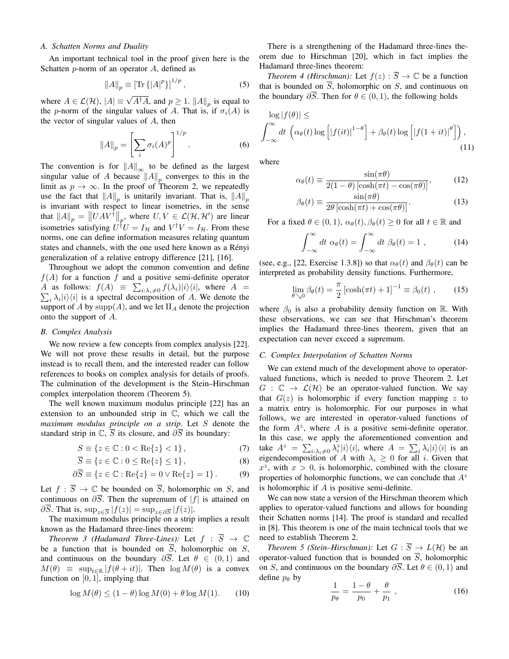#### *A. Schatten Norms and Duality*

An important technical tool in the proof given here is the Schatten  $p$ -norm of an operator  $A$ , defined as

$$
||A||_p \equiv [\text{Tr}\{|A|^p\}]^{1/p},\tag{5}
$$

where  $A \in \mathcal{L}(\mathcal{H})$ ,  $|A| \equiv \sqrt{A^{\dagger}A}$ , and  $p \ge 1$ .  $||A||_p$  is equal to the p-norm of the singular values of A. That is, if  $\sigma_i(A)$  is the vector of singular values of A, then

$$
||A||_p = \left[\sum_i \sigma_i(A)^p\right]^{1/p}.
$$
 (6)

The convention is for  $||A||_{\infty}$  to be defined as the largest singular value of A because  $||A||_p$  converges to this in the limit as  $p \to \infty$ . In the proof of Theorem 2, we repeatedly use the fact that  $||A||_p$  is unitarily invariant. That is,  $||A||_p$ is invariant with respect to linear isometries, in the sense that  $||A||_p = ||UAV^{\dagger}||_p$ , where  $U, V \in \mathcal{L}(\mathcal{H}, \mathcal{H}')$  are linear isometries satisfying  $U^{\dagger}U = I_{\mathcal{H}}$  and  $V^{\dagger}V = I_{\mathcal{H}}$ . From these norms, one can define information measures relating quantum states and channels, with the one used here known as a Rényi generalization of a relative entropy difference [21], [16].

Throughout we adopt the common convention and define  $f(A)$  for a function f and a positive semi-definite operator A as follows:  $f(A) \equiv \sum_{i:\lambda_i\neq 0} f(\lambda_i)|i\rangle\langle i|$ , where  $A =$  $\sum_i \lambda_i |i\rangle\langle i|$  is a spectral decomposition of A. We denote the support of A by  $\text{supp}(A)$ , and we let  $\Pi_A$  denote the projection onto the support of A.

#### *B. Complex Analysis*

We now review a few concepts from complex analysis [22]. We will not prove these results in detail, but the purpose instead is to recall them, and the interested reader can follow references to books on complex analysis for details of proofs. The culmination of the development is the Stein–Hirschman complex interpolation theorem (Theorem 5).

The well known maximum modulus principle [22] has an extension to an unbounded strip in C, which we call the *maximum modulus principle on a strip*. Let S denote the standard strip in  $\mathbb{C}, \overline{S}$  its closure, and  $\partial \overline{S}$  its boundary:

$$
S \equiv \{ z \in \mathbb{C} : 0 < \text{Re}\{z\} < 1 \},\tag{7}
$$

$$
\overline{S} \equiv \{ z \in \mathbb{C} : 0 \le \text{Re}\{z\} \le 1 \},\tag{8}
$$

$$
\partial \overline{S} \equiv \{ z \in \mathbb{C} : \text{Re}\{z\} = 0 \lor \text{Re}\{z\} = 1 \}.
$$
 (9)

Let  $f : \overline{S} \to \mathbb{C}$  be bounded on  $\overline{S}$ , holomorphic on S, and continuous on  $\partial \overline{S}$ . Then the supremum of  $|f|$  is attained on  $\partial S$ . That is,  $\sup_{z \in \overline{S}} |f(z)| = \sup_{z \in \partial \overline{S}} |f(z)|$ .

The maximum modulus principle on a strip implies a result known as the Hadamard three-lines theorem:

*Theorem 3 (Hadamard Three-Lines):* Let  $f : \overline{S} \rightarrow \mathbb{C}$ be a function that is bounded on  $\overline{S}$ , holomorphic on  $S$ , and continuous on the boundary  $\partial \overline{S}$ . Let  $\theta \in (0,1)$  and  $M(\theta) \equiv \sup_{t \in \mathbb{R}} |f(\theta + it)|$ . Then  $\log M(\theta)$  is a convex function on  $[0, 1]$ , implying that

$$
\log M(\theta) \le (1 - \theta) \log M(0) + \theta \log M(1). \tag{10}
$$

There is a strengthening of the Hadamard three-lines theorem due to Hirschman [20], which in fact implies the Hadamard three-lines theorem:

*Theorem 4 (Hirschman):* Let  $f(z) : \overline{S} \to \mathbb{C}$  be a function that is bounded on  $\overline{S}$ , holomorphic on S, and continuous on the boundary  $\partial \overline{S}$ . Then for  $\theta \in (0,1)$ , the following holds

$$
\log |f(\theta)| \le
$$
  

$$
\int_{-\infty}^{\infty} dt \left( \alpha_{\theta}(t) \log \left[ |f(it)|^{1-\theta} \right] + \beta_{\theta}(t) \log \left[ |f(1+it)|^{\theta} \right] \right), \tag{11}
$$

where

$$
\alpha_{\theta}(t) \equiv \frac{\sin(\pi\theta)}{2(1-\theta)\left[\cosh(\pi t) - \cos(\pi\theta)\right]},\tag{12}
$$

$$
\beta_{\theta}(t) \equiv \frac{\sin(\pi \theta)}{2\theta \left[\cosh(\pi t) + \cos(\pi \theta)\right]}.
$$
\n(13)

For a fixed  $\theta \in (0,1)$ ,  $\alpha_{\theta}(t), \beta_{\theta}(t) \geq 0$  for all  $t \in \mathbb{R}$  and

$$
\int_{-\infty}^{\infty} dt \; \alpha_{\theta}(t) = \int_{-\infty}^{\infty} dt \; \beta_{\theta}(t) = 1 \; , \tag{14}
$$

(see, e.g., [22, Exercise 1.3.8]) so that  $\alpha_{\theta}(t)$  and  $\beta_{\theta}(t)$  can be interpreted as probability density functions. Furthermore,

$$
\lim_{\theta \searrow 0} \beta_{\theta}(t) = \frac{\pi}{2} \left[ \cosh(\pi t) + 1 \right]^{-1} \equiv \beta_0(t) , \qquad (15)
$$

where  $\beta_0$  is also a probability density function on R. With these observations, we can see that Hirschman's theorem implies the Hadamard three-lines theorem, given that an expectation can never exceed a supremum.

### *C. Complex Interpolation of Schatten Norms*

We can extend much of the development above to operatorvalued functions, which is needed to prove Theorem 2. Let  $G : \mathbb{C} \to \mathcal{L}(\mathcal{H})$  be an operator-valued function. We say that  $G(z)$  is holomorphic if every function mapping z to a matrix entry is holomorphic. For our purposes in what follows, we are interested in operator-valued functions of the form  $A^z$ , where A is a positive semi-definite operator. In this case, we apply the aforementioned convention and take  $A^z = \sum_{i:\lambda_i\neq 0} \lambda_i^z |i\rangle\langle i|$ , where  $A = \sum_i \lambda_i |i\rangle\langle i|$  is an eigendecomposition of A with  $\lambda_i \geq 0$  for all i. Given that  $x^2$ , with  $x > 0$ , is holomorphic, combined with the closure properties of holomorphic functions, we can conclude that  $A^z$ is holomorphic if  $A$  is positive semi-definite.

We can now state a version of the Hirschman theorem which applies to operator-valued functions and allows for bounding their Schatten norms [14]. The proof is standard and recalled in [8]. This theorem is one of the main technical tools that we need to establish Theorem 2.

*Theorem 5 (Stein–Hirschman):* Let  $G : \overline{S} \to L(H)$  be an operator-valued function that is bounded on  $\overline{S}$ , holomorphic on S, and continuous on the boundary  $\partial \overline{S}$ . Let  $\theta \in (0,1)$  and define  $p_\theta$  by

$$
\frac{1}{p_{\theta}} = \frac{1 - \theta}{p_0} + \frac{\theta}{p_1} \,, \tag{16}
$$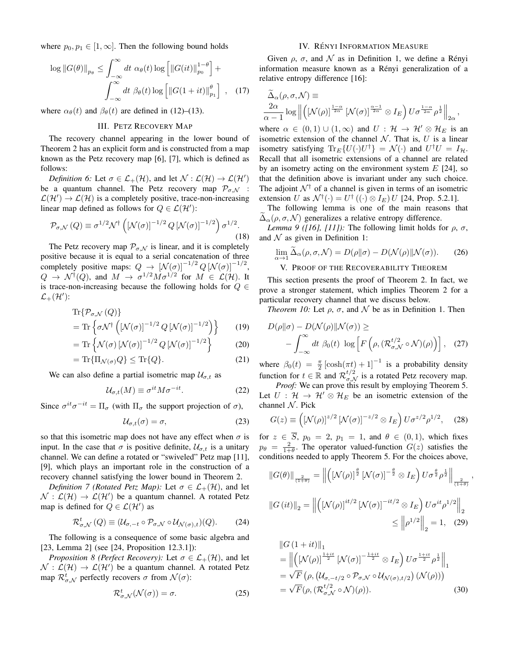where  $p_0, p_1 \in [1, \infty]$ . Then the following bound holds

$$
\log ||G(\theta)||_{p_{\theta}} \leq \int_{-\infty}^{\infty} dt \, \alpha_{\theta}(t) \log \left[ ||G(it)||_{p_{0}}^{1-\theta} \right] +
$$

$$
\int_{-\infty}^{\infty} dt \, \beta_{\theta}(t) \log \left[ ||G(1+it)||_{p_{1}}^{\theta} \right], \quad (17)
$$

where  $\alpha_{\theta}(t)$  and  $\beta_{\theta}(t)$  are defined in (12)–(13).

#### III. PETZ RECOVERY MAP

The recovery channel appearing in the lower bound of Theorem 2 has an explicit form and is constructed from a map known as the Petz recovery map [6], [7], which is defined as follows:

*Definition 6:* Let  $\sigma \in \mathcal{L}_+(\mathcal{H})$ , and let  $\mathcal{N} : \mathcal{L}(\mathcal{H}) \to \mathcal{L}(\mathcal{H}')$ be a quantum channel. The Petz recovery map  $P_{\sigma,\mathcal{N}}$  :  $\mathcal{L}(\mathcal{H}') \to \mathcal{L}(\mathcal{H})$  is a completely positive, trace-non-increasing linear map defined as follows for  $Q \in \mathcal{L}(\mathcal{H}')$ :

$$
\mathcal{P}_{\sigma,\mathcal{N}}\left(Q\right) \equiv \sigma^{1/2}\mathcal{N}^{\dagger}\left(\left[\mathcal{N}(\sigma)\right]^{-1/2}Q\left[\mathcal{N}(\sigma)\right]^{-1/2}\right)\sigma^{1/2}.\tag{18}
$$

The Petz recovery map  $P_{\sigma, \mathcal{N}}$  is linear, and it is completely positive because it is equal to a serial concatenation of three completely positive maps:  $Q \to \left[ \mathcal{N}(\sigma) \right]^{-1/2} Q \left[ \mathcal{N}(\sigma) \right]^{-1/2}$ ,  $Q \to \mathcal{N}^\dagger(Q)$ , and  $M \to \sigma^{1/2} M \sigma^{1/2}$  for  $M \in \mathcal{L}(\mathcal{H})$ . It is trace-non-increasing because the following holds for  $Q \in$  $\mathcal{L}_+(\mathcal{H}')$ :

$$
\begin{aligned} &\text{Tr}\{\mathcal{P}_{\sigma,\mathcal{N}}\left(Q\right)\} \\ &= \text{Tr}\left\{\sigma\mathcal{N}^{\dagger}\left[\left[\mathcal{N}(\sigma)\right]^{-1/2}Q\left[\mathcal{N}(\sigma)\right]^{-1/2}\right]\right\} \end{aligned} \tag{19}
$$

$$
= \operatorname{Tr} \left\{ \mathcal{N}(\sigma) \left[ \mathcal{N}(\sigma) \right]^{-1/2} Q \left[ \mathcal{N}(\sigma) \right]^{-1/2} \right\} \tag{20}
$$

$$
= \operatorname{Tr} \{ \Pi_{\mathcal{N}(\sigma)} Q \} \le \operatorname{Tr} \{ Q \}.
$$
 (21)

We can also define a partial isometric map  $\mathcal{U}_{\sigma,t}$  as

$$
\mathcal{U}_{\sigma,t}(M) \equiv \sigma^{it} M \sigma^{-it}.
$$
 (22)

Since  $\sigma^{it}\sigma^{-it} = \Pi_{\sigma}$  (with  $\Pi_{\sigma}$  the support projection of  $\sigma$ ),

$$
\mathcal{U}_{\sigma,t}(\sigma) = \sigma,\tag{23}
$$

so that this isometric map does not have any effect when  $\sigma$  is input. In the case that  $\sigma$  is positive definite,  $\mathcal{U}_{\sigma,t}$  is a unitary channel. We can define a rotated or "swiveled" Petz map [11], [9], which plays an important role in the construction of a recovery channel satisfying the lower bound in Theorem 2.

*Definition 7 (Rotated Petz Map):* Let  $\sigma \in \mathcal{L}_+(\mathcal{H})$ , and let  $\mathcal{N} : \mathcal{L}(\mathcal{H}) \to \mathcal{L}(\mathcal{H}')$  be a quantum channel. A rotated Petz map is defined for  $Q \in \mathcal{L}(\mathcal{H}')$  as

$$
\mathcal{R}^t_{\sigma,\mathcal{N}}(Q) \equiv (\mathcal{U}_{\sigma,-t} \circ \mathcal{P}_{\sigma,\mathcal{N}} \circ \mathcal{U}_{\mathcal{N}(\sigma),t})(Q). \tag{24}
$$

The following is a consequence of some basic algebra and [23, Lemma 2] (see [24, Proposition 12.3.1]):

*Proposition 8 (Perfect Recovery):* Let  $\sigma \in \mathcal{L}_+(\mathcal{H})$ , and let  $\mathcal{N} : \mathcal{L}(\mathcal{H}) \to \mathcal{L}(\mathcal{H}')$  be a quantum channel. A rotated Petz map  $\mathcal{R}^t_{\sigma,\mathcal{N}}$  perfectly recovers  $\sigma$  from  $\mathcal{N}(\sigma)$ :

$$
\mathcal{R}^t_{\sigma,\mathcal{N}}(\mathcal{N}(\sigma)) = \sigma.
$$
 (25)

## IV. RÉNYI INFORMATION MEASURE

Given  $\rho$ ,  $\sigma$ , and  $\mathcal N$  as in Definition 1, we define a Rényi information measure known as a Rényi generalization of a relative entropy difference [16]:

$$
\widetilde{\Delta}_{\alpha}(\rho,\sigma,\mathcal{N}) \equiv \frac{2\alpha}{\alpha-1} \log \left\| \left( \left[ \mathcal{N}(\rho) \right]^{\frac{1-\alpha}{2\alpha}} \left[ \mathcal{N}(\sigma) \right]^{\frac{\alpha-1}{2\alpha}} \otimes I_E \right) U \sigma^{\frac{1-\alpha}{2\alpha}} \rho^{\frac{1}{2}} \right\|_{2\alpha},
$$

where  $\alpha \in (0,1) \cup (1,\infty)$  and  $U : \mathcal{H} \to \mathcal{H}' \otimes \mathcal{H}_E$  is an isometric extension of the channel  $N$ . That is,  $U$  is a linear isometry satisfying  $\text{Tr}_E\{U(\cdot)U^{\dagger}\} = \mathcal{N}(\cdot)$  and  $U^{\dagger}U = I_H$ . Recall that all isometric extensions of a channel are related by an isometry acting on the environment system  $E$  [24], so that the definition above is invariant under any such choice. The adjoint  $\mathcal{N}^{\dagger}$  of a channel is given in terms of an isometric extension U as  $\mathcal{N}^{\dagger}(\cdot) = U^{\dagger}((\cdot) \otimes I_E) U$  [24, Prop. 5.2.1].

The following lemma is one of the main reasons that  $\Delta_{\alpha}(\rho, \sigma, \mathcal{N})$  generalizes a relative entropy difference.

*Lemma 9 ([16], [11]):* The following limit holds for  $\rho$ ,  $\sigma$ , and  $N$  as given in Definition 1:

$$
\lim_{\alpha \to 1} \widetilde{\Delta}_{\alpha}(\rho, \sigma, \mathcal{N}) = D(\rho \| \sigma) - D(\mathcal{N}(\rho) \| \mathcal{N}(\sigma)).
$$
 (26)

V. PROOF OF THE RECOVERABILITY THEOREM

This section presents the proof of Theorem 2. In fact, we prove a stronger statement, which implies Theorem 2 for a particular recovery channel that we discuss below.

*Theorem 10:* Let  $\rho$ ,  $\sigma$ , and  $\mathcal N$  be as in Definition 1. Then

$$
D(\rho||\sigma) - D(\mathcal{N}(\rho)||\mathcal{N}(\sigma)) \ge - \int_{-\infty}^{\infty} dt \ \beta_0(t) \ \log \left[ F\left(\rho, (\mathcal{R}_{\sigma,\mathcal{N}}^{t/2} \circ \mathcal{N})(\rho)\right) \right], \tag{27}
$$

where  $\beta_0(t) = \frac{\pi}{2} [\cosh(\pi t) + 1]^{-1}$  is a probability density where  $p_0(v) = \frac{1}{2} \left[\cosh(v) + 1\right]$  is a probability density<br>function for  $t \in \mathbb{R}$  and  $\mathcal{R}_{\sigma,\mathcal{N}}^{t/2}$  is a rotated Petz recovery map.

*Proof:* We can prove this result by employing Theorem 5. Let  $U : \mathcal{H} \to \mathcal{H}' \otimes \mathcal{H}_E$  be an isometric extension of the channel  $N$ . Pick

$$
G(z) \equiv \left( \left[ \mathcal{N}(\rho) \right]^{z/2} \left[ \mathcal{N}(\sigma) \right]^{-z/2} \otimes I_E \right) U \sigma^{z/2} \rho^{1/2}, \quad (28)
$$

for  $z \in \overline{S}$ ,  $p_0 = 2$ ,  $p_1 = 1$ , and  $\theta \in (0, 1)$ , which fixes  $p_{\theta} = \frac{2}{1+\theta}$ . The operator valued-function  $G(z)$  satisfies the conditions needed to apply Theorem 5. For the choices above,

$$
\begin{aligned} \left\|G(\theta)\right\|_{\frac{2}{(1+\theta)}} &= \left\|\left(\left[\mathcal{N}(\rho)\right]^{\frac{\theta}{2}}\left[\mathcal{N}(\sigma)\right]^{-\frac{\theta}{2}}\otimes I_E\right)U\sigma^{\frac{\theta}{2}}\rho^{\frac{1}{2}}\right\|_{\frac{2}{(1+\theta)}}\\ \left\|G\left(it\right)\right\|_{2} &= \left\|\left(\left[\mathcal{N}(\rho)\right]^{it/2}\left[\mathcal{N}(\sigma)\right]^{-it/2}\otimes I_E\right)U\sigma^{it}\rho^{1/2}\right\|_{2}.\end{aligned}
$$

,

$$
\|\mathbf{G}(u)\|_{2} - \|\mathbf{U}(\mathbf{V}(p))\| \|\mathbf{V}(0)\| \leq \|\rho^{1/2}\|_{2} = 1, \quad (29)
$$

$$
\|G (1+it)\|_1
$$
\n
$$
= \left\| \left( \left[ \mathcal{N}(\rho) \right]^{\frac{1+it}{2}} \left[ \mathcal{N}(\sigma) \right]^{-\frac{1+it}{2}} \otimes I_E \right) U \sigma^{\frac{1+it}{2}} \rho^{\frac{1}{2}} \right\|_1
$$
\n
$$
= \sqrt{F} \left( \rho, \left( \mathcal{U}_{\sigma, -t/2} \circ \mathcal{P}_{\sigma, \mathcal{N}} \circ \mathcal{U}_{\mathcal{N}(\sigma), t/2} \right) \left( \mathcal{N}(\rho) \right) \right)
$$
\n
$$
= \sqrt{F} \left( \rho, \left( \mathcal{R}_{\sigma, \mathcal{N}}^{t/2} \circ \mathcal{N} \right) (\rho) \right).
$$
\n(30)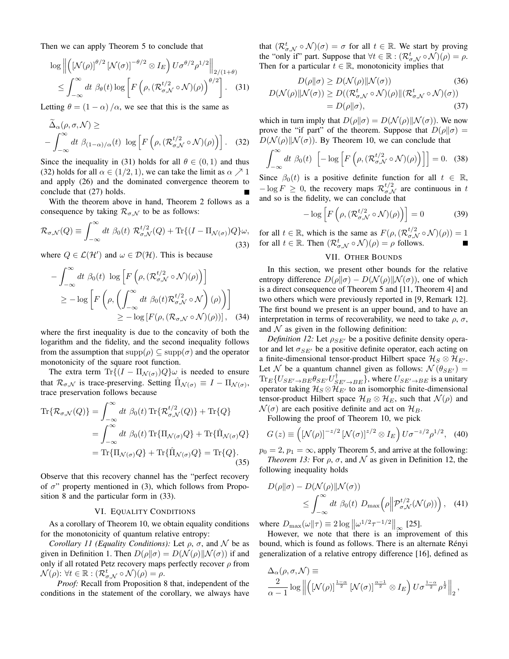Then we can apply Theorem 5 to conclude that

$$
\log \left\| \left( \left[ \mathcal{N}(\rho) \right]^{\theta/2} \left[ \mathcal{N}(\sigma) \right]^{-\theta/2} \otimes I_E \right) U \sigma^{\theta/2} \rho^{1/2} \right\|_{2/(1+\theta)} \n\leq \int_{-\infty}^{\infty} dt \; \beta_{\theta}(t) \log \left[ F \left( \rho, \left( \mathcal{R}_{\sigma,\mathcal{N}}^{t/2} \circ \mathcal{N} \right)(\rho) \right)^{\theta/2} \right].
$$
\n(31)

Letting  $\theta = (1 - \alpha) / \alpha$ , we see that this is the same as

$$
\Delta_{\alpha}(\rho, \sigma, \mathcal{N}) \ge
$$
\n
$$
-\int_{-\infty}^{\infty} dt \; \beta_{(1-\alpha)/\alpha}(t) \; \log \left[ F\left(\rho, (\mathcal{R}_{\sigma, \mathcal{N}}^{t/2} \circ \mathcal{N})(\rho)\right) \right]. \tag{32}
$$

Since the inequality in (31) holds for all  $\theta \in (0, 1)$  and thus (32) holds for all  $\alpha \in (1/2, 1)$ , we can take the limit as  $\alpha \nearrow 1$ and apply (26) and the dominated convergence theorem to conclude that (27) holds.

With the theorem above in hand, Theorem 2 follows as a consequence by taking  $\mathcal{R}_{\sigma,N}$  to be as follows:

$$
\mathcal{R}_{\sigma,\mathcal{N}}(Q) \equiv \int_{-\infty}^{\infty} dt \; \beta_0(t) \; \mathcal{R}_{\sigma,\mathcal{N}}^{t/2}(Q) + \text{Tr}\{(I - \Pi_{\mathcal{N}(\sigma)})Q\}\omega,
$$
\n(33)

where  $Q \in \mathcal{L}(\mathcal{H}')$  and  $\omega \in \mathcal{D}(\mathcal{H})$ . This is because

$$
-\int_{-\infty}^{\infty} dt \,\beta_0(t) \,\log\left[F\left(\rho, (\mathcal{R}_{\sigma,\mathcal{N}}^{t/2} \circ \mathcal{N})(\rho)\right)\right]
$$
  
\n
$$
\geq -\log\left[F\left(\rho, \left(\int_{-\infty}^{\infty} dt \,\beta_0(t)\mathcal{R}_{\sigma,\mathcal{N}}^{t/2} \circ \mathcal{N}\right)(\rho)\right)\right]
$$
  
\n
$$
\geq -\log\left[F(\rho, (\mathcal{R}_{\sigma,\mathcal{N}} \circ \mathcal{N})(\rho))\right], \quad (34)
$$

where the first inequality is due to the concavity of both the logarithm and the fidelity, and the second inequality follows from the assumption that  $supp(\rho) \subseteq supp(\sigma)$  and the operator monotonicity of the square root function.

The extra term  $\text{Tr}\{(I - \Pi_{\mathcal{N}(\sigma)})Q\}\omega$  is needed to ensure that  $\mathcal{R}_{\sigma,\mathcal{N}}$  is trace-preserving. Setting  $\hat{\Pi}_{\mathcal{N}(\sigma)} \equiv I - \Pi_{\mathcal{N}(\sigma)}$ , trace preservation follows because

$$
\begin{split} \text{Tr}\{\mathcal{R}_{\sigma,\mathcal{N}}(Q)\} &= \int_{-\infty}^{\infty} dt \ \beta_0(t) \ \text{Tr}\{\mathcal{R}_{\sigma,\mathcal{N}}^{t/2}(Q)\} + \text{Tr}\{Q\} \\ &= \int_{-\infty}^{\infty} dt \ \beta_0(t) \ \text{Tr}\{\Pi_{\mathcal{N}(\sigma)}Q\} + \text{Tr}\{\hat{\Pi}_{\mathcal{N}(\sigma)}Q\} \\ &= \text{Tr}\{\Pi_{\mathcal{N}(\sigma)}Q\} + \text{Tr}\{\hat{\Pi}_{\mathcal{N}(\sigma)}Q\} = \text{Tr}\{Q\}. \end{split} \tag{35}
$$

Observe that this recovery channel has the "perfect recovery of  $\sigma$ " property mentioned in (3), which follows from Proposition 8 and the particular form in (33).

#### VI. EQUALITY CONDITIONS

As a corollary of Theorem 10, we obtain equality conditions for the monotonicity of quantum relative entropy:

*Corollary 11 (Equality Conditions):* Let  $\rho$ ,  $\sigma$ , and  $\mathcal N$  be as given in Definition 1. Then  $D(\rho||\sigma) = D(\mathcal{N}(\rho)||\mathcal{N}(\sigma))$  if and only if all rotated Petz recovery maps perfectly recover  $\rho$  from  $\mathcal{N}(\rho)$ :  $\forall t \in \mathbb{R} : (\mathcal{R}^t_{\sigma,\mathcal{N}} \circ \mathcal{N})(\rho) = \rho.$ 

*Proof:* Recall from Proposition 8 that, independent of the conditions in the statement of the corollary, we always have

that  $(\mathcal{R}^t_{\sigma,\mathcal{N}} \circ \mathcal{N})(\sigma) = \sigma$  for all  $t \in \mathbb{R}$ . We start by proving the "only if" part. Suppose that  $\forall t \in \mathbb{R} : (\mathcal{R}^t_{\sigma,\mathcal{N}} \circ \mathcal{N})(\rho) = \rho$ . Then for a particular  $t \in \mathbb{R}$ , monotonicity implies that

$$
D(\rho||\sigma) \ge D(\mathcal{N}(\rho)||\mathcal{N}(\sigma))
$$
\n
$$
D(\mathcal{N}(\rho)||\mathcal{N}(\sigma)) \ge D((\mathcal{R}_{\sigma,\mathcal{N}}^t \circ \mathcal{N})(\rho)||(\mathcal{R}_{\sigma,\mathcal{N}}^t \circ \mathcal{N})(\sigma))
$$
\n(36)

$$
= D(\rho||\sigma), \qquad (37)
$$

which in turn imply that  $D(\rho||\sigma) = D(\mathcal{N}(\rho)||\mathcal{N}(\sigma))$ . We now prove the "if part" of the theorem. Suppose that  $D(\rho||\sigma) =$  $D(\mathcal{N}(\rho)||\mathcal{N}(\sigma))$ . By Theorem 10, we can conclude that

$$
\int_{-\infty}^{\infty} dt \; \beta_0(t) \; \left[ -\log \left[ F\left( \rho, (\mathcal{R}_{\sigma,\mathcal{N}}^{t/2} \circ \mathcal{N})(\rho) \right) \right] \right] = 0. \quad (38)
$$

Since  $\beta_0(t)$  is a positive definite function for all  $t \in \mathbb{R}$ ,  $-\log F \geq 0$ , the recovery maps  $\mathcal{R}^{t/2}_{\sigma,\mathcal{N}}$  are continuous in t and so is the fidelity, we can conclude that

$$
-\log\left[F\left(\rho, \left(\mathcal{R}_{\sigma,\mathcal{N}}^{t/2} \circ \mathcal{N}\right)(\rho)\right)\right] = 0\tag{39}
$$

for all  $t \in \mathbb{R}$ , which is the same as  $F(\rho, (\mathcal{R}_{\sigma,\mathcal{N}}^{t/2} \circ \mathcal{N})(\rho)) = 1$ for all  $t \in \mathbb{R}$ . Then  $(\mathcal{R}^t_{\sigma,\mathcal{N}} \circ \mathcal{N})(\rho) = \rho$  follows.

### VII. OTHER BOUNDS

In this section, we present other bounds for the relative entropy difference  $D(\rho||\sigma) - D(\mathcal{N}(\rho)||\mathcal{N}(\sigma))$ , one of which is a direct consequence of Theorem 5 and [11, Theorem 4] and two others which were previously reported in [9, Remark 12]. The first bound we present is an upper bound, and to have an interpretation in terms of recoverability, we need to take  $\rho$ ,  $\sigma$ , and  $\mathcal N$  as given in the following definition:

*Definition 12:* Let  $\rho_{SE}$  be a positive definite density operator and let  $\sigma_{SE}$  be a positive definite operator, each acting on a finite-dimensional tensor-product Hilbert space  $\mathcal{H}_S \otimes \mathcal{H}_{E'}$ . Let N be a quantum channel given as follows:  $N(\theta_{SE}) =$  $\text{Tr}_E\{U_{SE'\to BE}\theta_{SE'}U_{SE'\to BE}^{\dagger}\}$ , where  $U_{SE'\to BE}$  is a unitary operator taking  $\mathcal{H}_S \otimes \mathcal{H}_{E'}$  to an isomorphic finite-dimensional tensor-product Hilbert space  $\mathcal{H}_B \otimes \mathcal{H}_E$ , such that  $\mathcal{N}(\rho)$  and  $\mathcal{N}(\sigma)$  are each positive definite and act on  $\mathcal{H}_B$ .

Following the proof of Theorem 10, we pick

$$
G(z) \equiv \left( \left[ \mathcal{N}(\rho) \right]^{-z/2} \left[ \mathcal{N}(\sigma) \right]^{z/2} \otimes I_E \right) U \sigma^{-z/2} \rho^{1/2}, \quad (40)
$$

 $p_0 = 2$ ,  $p_1 = \infty$ , apply Theorem 5, and arrive at the following: *Theorem 13:* For  $\rho$ ,  $\sigma$ , and  $\mathcal N$  as given in Definition 12, the

following inequality holds

$$
D(\rho||\sigma) - D(\mathcal{N}(\rho)||\mathcal{N}(\sigma))
$$
  
\n
$$
\leq \int_{-\infty}^{\infty} dt \ \beta_0(t) \ D_{\max}(\rho||\mathcal{P}^{t/2}_{\sigma,\mathcal{N}}(\mathcal{N}(\rho))) , \quad (41)
$$

where  $D_{\text{max}}(\omega || \tau) \equiv 2 \log ||\omega^{1/2} \tau^{-1/2}||_{\infty}$  [25].

However, we note that there is an improvement of this bound, which is found as follows. There is an alternate Rényi generalization of a relative entropy difference [16], defined as

$$
\Delta_{\alpha}(\rho, \sigma, \mathcal{N}) \equiv \frac{2}{\alpha - 1} \log \left\| \left( \left[ \mathcal{N}(\rho) \right]^{\frac{1 - \alpha}{2}} \left[ \mathcal{N}(\sigma) \right]^{\frac{\alpha - 1}{2}} \otimes I_E \right) U \sigma^{\frac{1 - \alpha}{2}} \rho^{\frac{1}{2}} \right\|_2,
$$